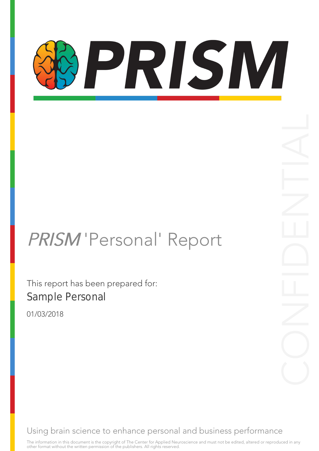# PRISM

### PRISM 'Personal' Report

This report has been prepared for: Sample Personal

01/03/2018

Using brain science to enhance personal and business performance

The information in this document is the copyright of The Center for Applied Neuroscience and must not be edited, altered or reproduced in any other format without the written permission of the publishers. All rights reserved.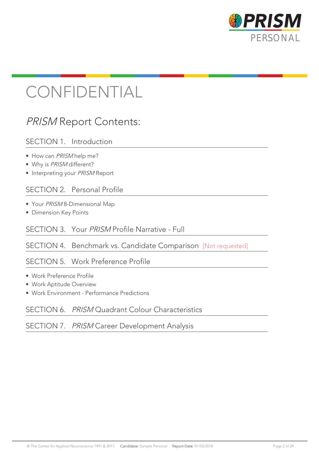

### CONFIDENTIAL

### PRISM Report Contents:

#### SECTION 1. Introduction

- How can PRISM help me?
- Why is PRISM different?
- Interpreting your PRISM Report

#### SECTION 2. Personal Profile

- Your PRISM 8-Dimensional Map
- Dimension Key Points

#### SECTION 3. Your PRISM Profile Narrative - Full

#### SECTION 4. Benchmark vs. Candidate Comparison [Not requested]

#### SECTION 5. Work Preference Profile

- Work Preference Profile
- Work Aptitude Overview
- Work Environment Performance Predictions

#### SECTION 6. *PRISM* Quadrant Colour Characteristics

#### SECTION 7. PRISM Career Development Analysis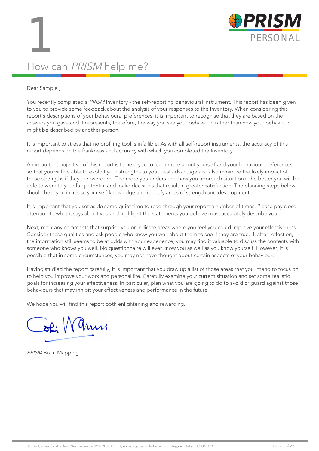

### How can PRISM help me?

#### Dear Sample ,

You recently completed a PRISM Inventory - the self-reporting behavioural instrument. This report has been given to you to provide some feedback about the analysis of your responses to the Inventory. When considering this report's descriptions of your behavioural preferences, it is important to recognise that they are based on the answers you gave and it represents, therefore, the way you see your behaviour, rather than how your behaviour might be described by another person.

It is important to stress that no profiling tool is infallible. As with all self-report instruments, the accuracy of this report depends on the frankness and accuracy with which you completed the Inventory.

An important objective of this report is to help you to learn more about yourself and your behaviour preferences, so that you will be able to exploit your strengths to your best advantage and also minimize the likely impact of those strengths if they are overdone. The more you understand how you approach situations, the better you will be able to work to your full potential and make decisions that result in greater satisfaction. The planning steps below should help you increase your self-knowledge and identify areas of strength and development.

It is important that you set aside some quiet time to read through your report a number of times. Please pay close attention to what it says about you and highlight the statements you believe most accurately describe you.

Next, mark any comments that surprise you or indicate areas where you feel you could improve your effectiveness. Consider these qualities and ask people who know you well about them to see if they are true. If, after reflection, the information still seems to be at odds with your experience, you may find it valuable to discuss the contents with someone who knows you well. No questionnaire will ever know you as well as you know yourself. However, it is possible that in some circumstances, you may not have thought about certain aspects of your behaviour.

Having studied the report carefully, it is important that you draw up a list of those areas that you intend to focus on to help you improve your work and personal life. Carefully examine your current situation and set some realistic goals for increasing your effectiveness. In particular, plan what you are going to do to avoid or guard against those behaviours that may inhibit your effectiveness and performance in the future.

We hope you will find this report both enlightening and rewarding.

 $\sqrt{a}$ 

PRISM Brain Mapping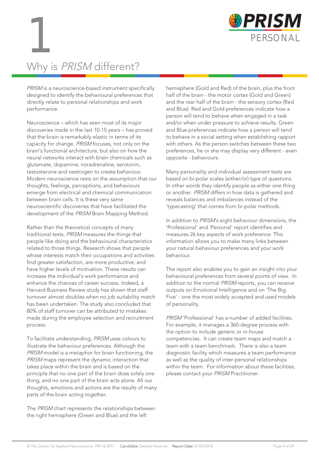

### Why is PRISM different?

PRISM is a neuroscience-based instrument specifically designed to identify the behavioural preferences that directly relate to personal relationships and work performance.

Neuroscience – which has seen most of its major discoveries made in the last 10-15 years – has proved that the brain is remarkably elastic in terms of its capacity for change. PRISM focuses, not only on the brain's functional architecture, but also on how the neural networks interact with brain chemicals such as glutamate, dopamine, noradrenaline, serotonin, testosterone and oestrogen to create behaviour. Modern neuroscience rests on the assumption that our thoughts, feelings, perceptions, and behaviours emerge from electrical and chemical communication between brain cells. It is these very same neuroscientific discoveries that have facilitated the development of the PRISM Brain Mapping Method.

Rather than the theoretical concepts of many traditional tests, PRISM measures the things that people like doing and the behavioural characteristics related to those things. Research shows that people whose interests match their occupations and activities find greater satisfaction, are more productive, and have higher levels of motivation. These results can increase the individual's work performance and enhance the chances of career success. Indeed, a Harvard Business Review study has shown that staff turnover almost doubles when no job suitability match has been undertaken. The study also concluded that 80% of staff turnover can be attributed to mistakes made during the employee selection and recruitment process.

To facilitate understanding, PRISM uses colours to illustrate the behaviour preferences. Although the PRISM model is a metaphor for brain functioning, the PRISM maps represent the dynamic interaction that takes place within the brain and is based on the principle that no one part of the brain does solely one thing, and no one part of the brain acts alone. All our thoughts, emotions and actions are the results of many parts of the brain acting together.

The PRISM chart represents the relationships between the right hemisphere (Green and Blue) and the left

hemisphere (Gold and Red) of the brain, plus the front half of the brain - the motor cortex (Gold and Green) and the rear half of the brain - the sensory cortex (Red and Blue). Red and Gold preferences indicate how a person will tend to behave when engaged in a task and/or when under pressure to achieve results. Green and Blue preferences indicate how a person will tend to behave in a social setting when establishing rapport with others. As the person switches between these two preferences, he or she may display very different - even opposite - behaviours.

Many personality and individual assessment tests are based on bi-polar scales (either/or) type of questions. In other words they identify people as either one thing or another. PRISM differs in how data is gathered and reveals balances and imbalances instead of the 'typecasting' that comes from bi-polar methods.

In addition to PRISM's eight behaviour dimensions, the 'Professional' and 'Personal' report identifies and measures 26 key aspects of work preference. This information allows you to make many links between your natural behaviour preferences and your work behaviour.

The report also enables you to gain an insight into your behavioural preferences from several points of view. In addition to the normal PRISM reports, you can receive outputs on Emotional Intelligence and on 'The Big Five' - one the most widely accepted and used models of personality.

PRISM 'Professional' has a number of added facilities. For example, it manages a 360-degree process with the option to include generic or in-house competencies. It can create team maps and match a team with a team benchmark. There is also a team diagnostic facility which measures a team performance as well as the quality of inter-personal relationships within the team. For information about these facilities, please contact your PRISM Practitioner.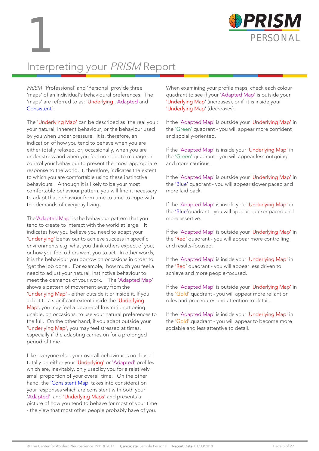



### Interpreting your PRISM Report

PRISM 'Professional' and 'Personal' provide three 'maps' of an individual's behavioural preferences. The 'maps' are referred to as: 'Underlying , Adapted and Consistent'.

The 'Underlying Map' can be described as 'the real you'; your natural, inherent behaviour, or the behaviour used by you when under pressure. It is, therefore, an indication of how you tend to behave when you are either totally relaxed, or, occasionally, when you are under stress and when you feel no need to manage or control your behaviour to present the most appropriate response to the world. It, therefore, indicates the extent to which you are comfortable using these instinctive behaviours. Although it is likely to be your most comfortable behaviour pattern, you will find it necessary to adapt that behaviour from time to time to cope with the demands of everyday living.

The'Adapted Map' is the behaviour pattern that you tend to create to interact with the world at large. It indicates how you believe you need to adapt your 'Underlying' behaviour to achieve success in specific environments e.g. what you think others expect of you, or how you feel others want you to act. In other words, it is the behaviour you borrow on occasions in order to 'get the job done'. For example, how much you feel a need to adjust your natural, instinctive behaviour to meet the demands of your work. The 'Adapted Map' shows a pattern of movement away from the 'Underlying Map' - either outside it or inside it. If you adapt to a significant extent inside the 'Underlying Map', you may feel a degree of frustration at being unable, on occasions, to use your natural preferences to the full. On the other hand, if you adapt outside your 'Underlying Map', you may feel stressed at times, especially if the adapting carries on for a prolonged period of time.

Like everyone else, your overall behaviour is not based totally on either your 'Underlying' or 'Adapted' profiles which are, inevitably, only used by you for a relatively small proportion of your overall time. On the other hand, the 'Consistent Map' takes into consideration your responses which are consistent with both your 'Adapted' and 'Underlying Maps' and presents a picture of how you tend to behave for most of your time - the view that most other people probably have of you.

When examining your profile maps, check each colour quadrant to see if your 'Adapted Map' is outside your 'Underlying Map' (increases), or if it is inside your 'Underlying Map' (decreases).

If the 'Adapted Map' is outside your 'Underlying Map' in the 'Green' quadrant - you will appear more confident and socially-oriented.

If the 'Adapted Map' is inside your 'Underlying Map' in the 'Green' quadrant - you will appear less outgoing and more cautious.

If the 'Adapted Map' is outside your 'Underlying Map' in the 'Blue' quadrant - you will appear slower paced and more laid back.

If the 'Adapted Map' is inside your 'Underlying Map' in the 'Blue'quadrant - you will appear quicker paced and more assertive.

If the 'Adapted Map' is outside your 'Underlying Map' in the 'Red' quadrant - you will appear more controlling and results-focused.

If the 'Adapted Map' is inside your 'Underlying Map' in the 'Red' quadrant - you will appear less driven to achieve and more people-focused.

If the 'Adapted Map' is outside your 'Underlying Map' in the 'Gold' quadrant - you will appear more reliant on rules and procedures and attention to detail.

If the 'Adapted Map' is inside your 'Underlying Map' in the 'Gold' quadrant - you will appear to become more sociable and less attentive to detail.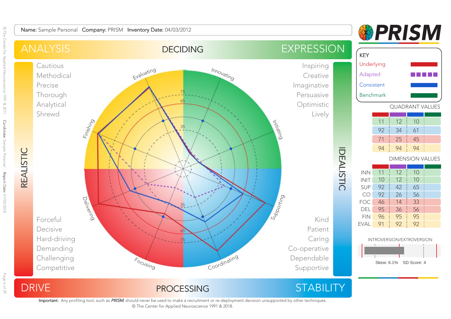

PROCESSING

75

<sup>F</sup>ocusing

<sup>C</sup>oo<sup>r</sup>dinatin<sup>g</sup>



Caring

 Co-operative DependableSupportive

### **&PRISM**

 UnderlyingAdapted. . . . . . . . . . <u>.</u> ConsistentBenchmarkQUADRANT VALUES121110 92 34 61 71 4525949494DIMENSION VALUES1210 12 1092 42 65 92 26 56 46 14 33 95 36 56 96 95 95 91 92 92 INTROVERSION/EXTROVERSIONSkew: 6.1% SD Score: 4

Important: Any profiling tool, such as PRISM, should never be used to make a recruitment or re-deployment decision unsupported by other techniques. © The Center for Applied Neuroscience 1991 & 2018.

DRIVE

 Hard-driving Demanding Challenging**Competitive**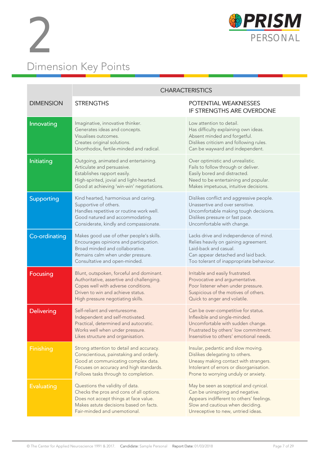



|                   | <b>CHARACTERISTICS</b>                                                                                                                                                                                        |                                                                                                                                                                                                   |  |  |  |  |  |  |  |  |  |  |
|-------------------|---------------------------------------------------------------------------------------------------------------------------------------------------------------------------------------------------------------|---------------------------------------------------------------------------------------------------------------------------------------------------------------------------------------------------|--|--|--|--|--|--|--|--|--|--|
| <b>DIMENSION</b>  | <b>STRENGTHS</b>                                                                                                                                                                                              | POTENTIAL WEAKNESSES<br>IF STRENGTHS ARE OVERDONE                                                                                                                                                 |  |  |  |  |  |  |  |  |  |  |
| Innovating        | Imaginative, innovative thinker.<br>Generates ideas and concepts.<br>Visualises outcomes.<br>Creates original solutions.<br>Unorthodox, fertile-minded and radical.                                           | Low attention to detail.<br>Has difficulty explaining own ideas.<br>Absent minded and forgetful.<br>Dislikes criticism and following rules.<br>Can be wayward and independent.                    |  |  |  |  |  |  |  |  |  |  |
| Initiating        | Outgoing, animated and entertaining.<br>Articulate and persuasive.<br>Establishes rapport easily.<br>High-spirited, jovial and light-hearted.<br>Good at achieving 'win-win' negotiations.                    | Over optimistic and unrealistic.<br>Fails to follow through or deliver.<br>Easily bored and distracted.<br>Need to be entertaining and popular.<br>Makes impetuous, intuitive decisions.          |  |  |  |  |  |  |  |  |  |  |
| Supporting        | Kind hearted, harmonious and caring.<br>Supportive of others.<br>Handles repetitive or routine work well.<br>Good natured and accommodating.<br>Considerate, kindly and compassionate.                        | Dislikes conflict and aggressive people.<br>Unassertive and over sensitive.<br>Uncomfortable making tough decisions.<br>Dislikes pressure or fast pace.<br>Uncomfortable with change.             |  |  |  |  |  |  |  |  |  |  |
| Co-ordinating     | Makes good use of other people's skills.<br>Encourages opinions and participation.<br>Broad minded and collaborative.<br>Remains calm when under pressure.<br>Consultative and open-minded.                   | Lacks drive and independence of mind.<br>Relies heavily on gaining agreement.<br>Laid-back and casual.<br>Can appear detached and laid back.<br>Too tolerant of inappropriate behaviour.          |  |  |  |  |  |  |  |  |  |  |
| Focusing          | Blunt, outspoken, forceful and dominant.<br>Authoritative, assertive and challenging.<br>Copes well with adverse conditions.<br>Driven to win and achieve status.<br>High pressure negotiating skills.        | Irritable and easily frustrated.<br>Provocative and argumentative.<br>Poor listener when under pressure.<br>Suspicious of the motives of others.<br>Quick to anger and volatile.                  |  |  |  |  |  |  |  |  |  |  |
| <b>Delivering</b> | Self-reliant and venturesome.<br>Independent and self-motivated.<br>Practical, determined and autocratic.<br>Works well when under pressure.<br>Likes structure and organisation.                             | Can be over-competitive for status.<br>Inflexible and single-minded.<br>Uncomfortable with sudden change.<br>Frustrated by others' low commitment.<br>Insensitive to others' emotional needs.     |  |  |  |  |  |  |  |  |  |  |
| <b>Finishing</b>  | Strong attention to detail and accuracy.<br>Conscientious, painstaking and orderly.<br>Good at communicating complex data.<br>Focuses on accuracy and high standards.<br>Follows tasks through to completion. | Insular, pedantic and slow moving.<br>Dislikes delegating to others.<br>Uneasy making contact with strangers.<br>Intolerant of errors or disorganisation.<br>Prone to worrying unduly or anxiety. |  |  |  |  |  |  |  |  |  |  |
| <b>Evaluating</b> | Questions the validity of data.<br>Checks the pros and cons of all options.<br>Does not accept things at face value.<br>Makes astute decisions based on facts.<br>Fair-minded and unemotional.                | May be seen as sceptical and cynical.<br>Can be uninspiring and negative.<br>Appears indifferent to others' feelings.<br>Slow and cautious when deciding.<br>Unreceptive to new, untried ideas.   |  |  |  |  |  |  |  |  |  |  |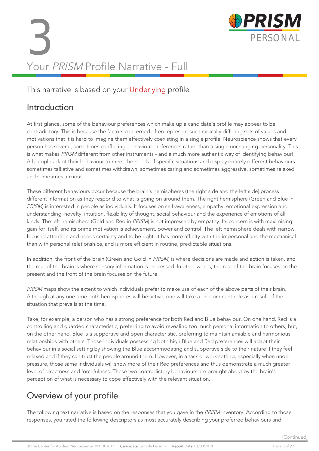# 3 PERSONAL<br>PERSONAL<br>Your PPICM Profile Nativities Full Your PRISM Profile Narrative - Full



#### This narrative is based on your Underlying profile

#### Introduction

At first glance, some of the behaviour preferences which make up a candidate's profile may appear to be contradictory. This is because the factors concerned often represent such radically differing sets of values and motivations that it is hard to imagine them effectively coexisting in a single profile. Neuroscience shows that every person has several, sometimes conflicting, behaviour preferences rather than a single unchanging personality. This is what makes PRISM different from other instruments - and a much more authentic way of identifying behaviour! All people adapt their behaviour to meet the needs of specific situations and display entirely different behaviours: sometimes talkative and sometimes withdrawn, sometimes caring and sometimes aggressive, sometimes relaxed and sometimes anxious.

These different behaviours occur because the brain's hemispheres (the right side and the left side) process different information as they respond to what is going on around them. The right hemisphere (Green and Blue in PRISM) is interested in people as individuals. It focuses on self-awareness, empathy, emotional expression and understanding, novelty, intuition, flexibility of thought, social behaviour and the experience of emotions of all kinds. The left hemisphere (Gold and Red in PRISM) is not impressed by empathy. Its concern is with maximising gain for itself, and its prime motivation is achievement, power and control. The left hemisphere deals with narrow, focused attention and needs certainty and to be right. It has more affinity with the impersonal and the mechanical than with personal relationships, and is more efficient in routine, predictable situations.

In addition, the front of the brain (Green and Gold in PRISM) is where decisions are made and action is taken, and the rear of the brain is where sensory information is processed. In other words, the rear of the brain focuses on the present and the front of the brain focuses on the future.

PRISM maps show the extent to which individuals prefer to make use of each of the above parts of their brain. Although at any one time both hemispheres will be active, one will take a predominant role as a result of the situation that prevails at the time.

Take, for example, a person who has a strong preference for both Red and Blue behaviour. On one hand, Red is a controlling and guarded characteristic, preferring to avoid revealing too much personal information to others, but, on the other hand, Blue is a supportive and open characteristic, preferring to maintain amiable and harmonious relationships with others. Those individuals possessing both high Blue and Red preferences will adapt their behaviour in a social setting by showing the Blue accommodating and supportive side to their nature if they feel relaxed and if they can trust the people around them. However, in a task or work setting, especially when under pressure, those same individuals will show more of their Red preferences and thus demonstrate a much greater level of directness and forcefulness. These two contradictory behaviours are brought about by the brain's perception of what is necessary to cope effectively with the relevant situation.

### Overview of your profile

The following text narrative is based on the responses that you gave in the PRISM Inventory. According to those responses, you rated the following descriptors as most accurately describing your preferred behaviours and,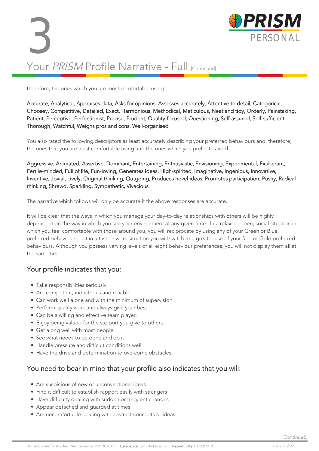

therefore, the ones which you are most comfortable using:

Accurate, Analytical, Appraises data, Asks for opinions, Assesses accurately, Attentive to detail, Categorical, Choosey, Competitive, Detailed, Exact, Harmonious, Methodical, Meticulous, Neat and tidy, Orderly, Painstaking, Patient, Perceptive, Perfectionist, Precise, Prudent, Quality-focused, Questioning, Self-assured, Self-sufficient, Thorough, Watchful, Weighs pros and cons, Well-organised

You also rated the following descriptors as least accurately describing your preferred behaviours and, therefore, the ones that you are least comfortable using and the ones which you prefer to avoid:

Aggressive, Animated, Assertive, Dominant, Entertaining, Enthusiastic, Envisioning, Experimental, Exuberant, Fertile-minded, Full of life, Fun-loving, Generates ideas, High-spirited, Imaginative, Ingenious, Innovative, Inventive, Jovial, Lively, Original thinking, Outgoing, Produces novel ideas, Promotes participation, Pushy, Radical thinking, Shrewd, Sparkling, Sympathetic, Vivacious

The narrative which follows will only be accurate if the above responses are accurate.

It will be clear that the ways in which you manage your day-to-day relationships with others will be highly dependent on the way in which you see your environment at any given time. In a relaxed, open, social situation in which you feel comfortable with those around you, you will reciprocate by using any of your Green or Blue preferred behaviours, but in a task or work situation you will switch to a greater use of your Red or Gold preferred behaviours. Although you possess varying levels of all eight behaviour preferences, you will not display them all at the same time.

#### Your profile indicates that you:

- Take responsibilities seriously.
- Are competent, industrious and reliable.
- Can work well alone and with the minimum of supervision.
- Perform quality work and always give your best.
- Can be a willing and effective team player.
- Enjoy being valued for the support you give to others.
- Get along well with most people.
- See what needs to be done and do it.
- Handle pressure and difficult conditions well.
- Have the drive and determination to overcome obstacles.

#### You need to bear in mind that your profile also indicates that you will:

- Are suspicious of new or unconventional ideas
- Find it difficult to establish rapport easily with strangers
- Have difficulty dealing with sudden or frequent changes
- Appear detached and guarded at times
- Are uncomfortable dealing with abstract concepts or ideas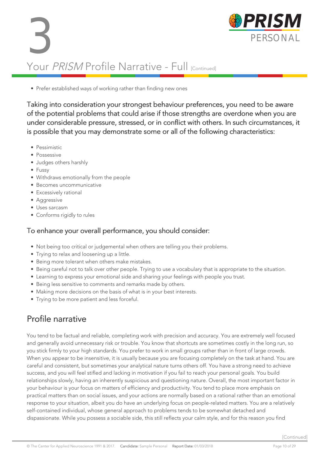



#### • Prefer established ways of working rather than finding new ones

Taking into consideration your strongest behaviour preferences, you need to be aware of the potential problems that could arise if those strengths are overdone when you are under considerable pressure, stressed, or in conflict with others. In such circumstances, it is possible that you may demonstrate some or all of the following characteristics:

- Pessimistic
- Possessive
- Judges others harshly
- Fussy
- Withdraws emotionally from the people
- Becomes uncommunicative
- Excessively rational
- Aggressive
- Uses sarcasm
- Conforms rigidly to rules

#### To enhance your overall performance, you should consider:

- Not being too critical or judgemental when others are telling you their problems.
- Trying to relax and loosening up a little.
- Being more tolerant when others make mistakes.
- Being careful not to talk over other people. Trying to use a vocabulary that is appropriate to the situation.
- Learning to express your emotional side and sharing your feelings with people you trust.
- Being less sensitive to comments and remarks made by others.
- Making more decisions on the basis of what is in your best interests.
- Trying to be more patient and less forceful.

### Profile narrative

You tend to be factual and reliable, completing work with precision and accuracy. You are extremely well focused and generally avoid unnecessary risk or trouble. You know that shortcuts are sometimes costly in the long run, so you stick firmly to your high standards. You prefer to work in small groups rather than in front of large crowds. When you appear to be insensitive, it is usually because you are focusing completely on the task at hand. You are careful and consistent, but sometimes your analytical nature turns others off. You have a strong need to achieve success, and you will feel stifled and lacking in motivation if you fail to reach your personal goals. You build relationships slowly, having an inherently suspicious and questioning nature. Overall, the most important factor in your behaviour is your focus on matters of efficiency and productivity. You tend to place more emphasis on practical matters than on social issues, and your actions are normally based on a rational rather than an emotional response to your situation, albeit you do have an underlying focus on people-related matters. You are a relatively self-contained individual, whose general approach to problems tends to be somewhat detached and dispassionate. While you possess a sociable side, this still reflects your calm style, and for this reason you find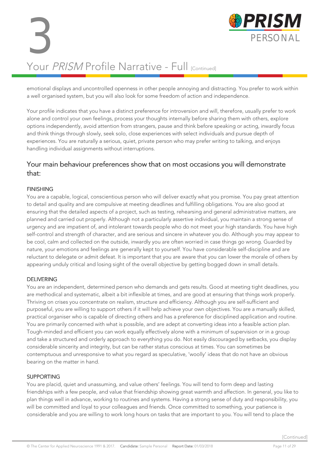emotional displays and uncontrolled openness in other people annoying and distracting. You prefer to work within a well organised system, but you will also look for some freedom of action and independence.

Your profile indicates that you have a distinct preference for introversion and will, therefore, usually prefer to work alone and control your own feelings, process your thoughts internally before sharing them with others, explore options independently, avoid attention from strangers, pause and think before speaking or acting, inwardly focus and think things through slowly, seek solo, close experiences with select individuals and pursue depth of experiences. You are naturally a serious, quiet, private person who may prefer writing to talking, and enjoys handling individual assignments without interruptions.

#### Your main behaviour preferences show that on most occasions you will demonstrate that:

#### FINISHING

You are a capable, logical, conscientious person who will deliver exactly what you promise. You pay great attention to detail and quality and are compulsive at meeting deadlines and fulfilling obligations. You are also good at ensuring that the detailed aspects of a project, such as testing, rehearsing and general administrative matters, are planned and carried out properly. Although not a particularly assertive individual, you maintain a strong sense of urgency and are impatient of, and intolerant towards people who do not meet your high standards. You have high self-control and strength of character, and are serious and sincere in whatever you do. Although you may appear to be cool, calm and collected on the outside, inwardly you are often worried in case things go wrong. Guarded by nature, your emotions and feelings are generally kept to yourself. You have considerable self-discipline and are reluctant to delegate or admit defeat. It is important that you are aware that you can lower the morale of others by appearing unduly critical and losing sight of the overall objective by getting bogged down in small details.

#### DELIVERING

You are an independent, determined person who demands and gets results. Good at meeting tight deadlines, you are methodical and systematic, albeit a bit inflexible at times, and are good at ensuring that things work properly. Thriving on crises you concentrate on realism, structure and efficiency. Although you are self-sufficient and purposeful, you are willing to support others if it will help achieve your own objectives. You are a manually skilled, practical organiser who is capable of directing others and has a preference for disciplined application and routine. You are primarily concerned with what is possible, and are adept at converting ideas into a feasible action plan. Tough-minded and efficient you can work equally effectively alone with a minimum of supervision or in a group and take a structured and orderly approach to everything you do. Not easily discouraged by setbacks, you display considerable sincerity and integrity, but can be rather status conscious at times. You can sometimes be contemptuous and unresponsive to what you regard as speculative, 'woolly' ideas that do not have an obvious bearing on the matter in hand.

#### SUPPORTING

You are placid, quiet and unassuming, and value others' feelings. You will tend to form deep and lasting friendships with a few people, and value that friendship showing great warmth and affection. In general, you like to plan things well in advance, working to routines and systems. Having a strong sense of duty and responsibility, you will be committed and loyal to your colleagues and friends. Once committed to something, your patience is considerable and you are willing to work long hours on tasks that are important to you. You will tend to place the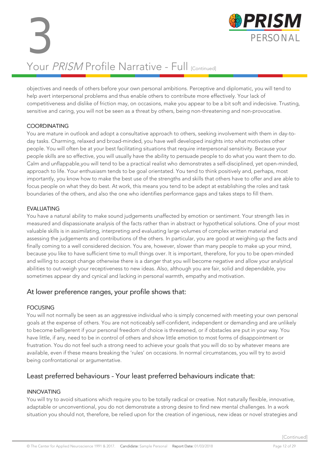objectives and needs of others before your own personal ambitions. Perceptive and diplomatic, you will tend to help avert interpersonal problems and thus enable others to contribute more effectively. Your lack of competitiveness and dislike of friction may, on occasions, make you appear to be a bit soft and indecisive. Trusting, sensitive and caring, you will not be seen as a threat by others, being non-threatening and non-provocative.

#### **COORDINATING**

You are mature in outlook and adopt a consultative approach to others, seeking involvement with them in day-today tasks. Charming, relaxed and broad-minded, you have well developed insights into what motivates other people. You will often be at your best facilitating situations that require interpersonal sensitivity. Because your people skills are so effective, you will usually have the ability to persuade people to do what you want them to do. Calm and unflappable,you will tend to be a practical realist who demonstrates a self-disciplined, yet open-minded, approach to life. Your enthusiasm tends to be goal orientated. You tend to think positively and, perhaps, most importantly, you know how to make the best use of the strengths and skills that others have to offer and are able to focus people on what they do best. At work, this means you tend to be adept at establishing the roles and task boundaries of the others, and also the one who identifies performance gaps and takes steps to fill them.

#### EVALUATING

You have a natural ability to make sound judgements unaffected by emotion or sentiment. Your strength lies in measured and dispassionate analysis of the facts rather than in abstract or hypothetical solutions. One of your most valuable skills is in assimilating, interpreting and evaluating large volumes of complex written material and assessing the judgements and contributions of the others. In particular, you are good at weighing up the facts and finally coming to a well considered decision. You are, however, slower than many people to make up your mind, because you like to have sufficient time to mull things over. It is important, therefore, for you to be open-minded and willing to accept change otherwise there is a danger that you will become negative and allow your analytical abilities to out-weigh your receptiveness to new ideas. Also, although you are fair, solid and dependable, you sometimes appear dry and cynical and lacking in personal warmth, empathy and motivation.

#### At lower preference ranges, your profile shows that:

#### FOCUSING

You will not normally be seen as an aggressive individual who is simply concerned with meeting your own personal goals at the expense of others. You are not noticeably self-confident, independent or demanding and are unlikely to become belligerent if your personal freedom of choice is threatened, or if obstacles are put in your way. You have little, if any, need to be in control of others and show little emotion to most forms of disappointment or frustration. You do not feel such a strong need to achieve your goals that you will do so by whatever means are available, even if these means breaking the 'rules' on occasions. In normal circumstances, you will try to avoid being confrontational or argumentative.

#### Least preferred behaviours - Your least preferred behaviours indicate that:

#### INNOVATING

You will try to avoid situations which require you to be totally radical or creative. Not naturally flexible, innovative, adaptable or unconventional, you do not demonstrate a strong desire to find new mental challenges. In a work situation you should not, therefore, be relied upon for the creation of ingenious, new ideas or novel strategies and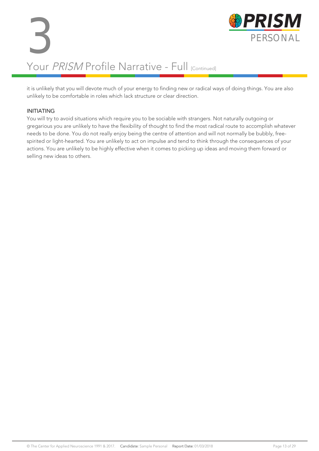it is unlikely that you will devote much of your energy to finding new or radical ways of doing things. You are also unlikely to be comfortable in roles which lack structure or clear direction.

#### INITIATING

You will try to avoid situations which require you to be sociable with strangers. Not naturally outgoing or gregarious you are unlikely to have the flexibility of thought to find the most radical route to accomplish whatever needs to be done. You do not really enjoy being the centre of attention and will not normally be bubbly, freespirited or light-hearted. You are unlikely to act on impulse and tend to think through the consequences of your actions. You are unlikely to be highly effective when it comes to picking up ideas and moving them forward or selling new ideas to others.

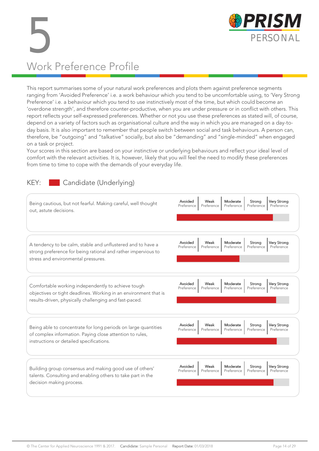

# 5 PERSONAL Work Preference Profile

This report summarises some of your natural work preferences and plots them against preference segments ranging from 'Avoided Preference' i.e. a work behaviour which you tend to be uncomfortable using, to 'Very Strong Preference' i.e. a behaviour which you tend to use instinctively most of the time, but which could become an 'overdone strength', and therefore counter-productive, when you are under pressure or in conflict with others. This report reflects your self-expressed preferences. Whether or not you use these preferences as stated will, of course, depend on a variety of factors such as organisational culture and the way in which you are managed on a day-today basis. It is also important to remember that people switch between social and task behaviours. A person can, therefore, be "outgoing" and "talkative" socially, but also be "demanding" and "single-minded" when engaged on a task or project.

Your scores in this section are based on your instinctive or underlying behaviours and reflect your ideal level of comfort with the relevant activities. It is, however, likely that you will feel the need to modify these preferences from time to time to cope with the demands of your everyday life.

#### KEY: Candidate (Underlying)

| Being cautious, but not fearful. Making careful, well thought<br>out, astute decisions.                                                                                          | Avoided<br>Moderate<br>Very Strong<br>Weak<br>Strong<br>Preference<br>Preference<br>Preference<br>Preference<br>Preference        |
|----------------------------------------------------------------------------------------------------------------------------------------------------------------------------------|-----------------------------------------------------------------------------------------------------------------------------------|
| A tendency to be calm, stable and unflustered and to have a<br>strong preference for being rational and rather impervious to<br>stress and environmental pressures.              | Avoided<br>Weak<br>Moderate<br><b>Very Strong</b><br>Strong<br>Preference<br>Preference<br>Preference<br>Preference<br>Preference |
| Comfortable working independently to achieve tough<br>objectives or tight deadlines. Working in an environment that is<br>results-driven, physically challenging and fast-paced. | Avoided<br>Weak<br>Moderate<br><b>Very Strong</b><br>Strong<br>Preference<br>Preference<br>Preference<br>Preference<br>Preference |
| Being able to concentrate for long periods on large quantities<br>of complex information. Paying close attention to rules,<br>instructions or detailed specifications.           | Avoided<br>Weak<br>Moderate<br>Very Strong<br>Strong<br>Preference<br>Preference<br>Preference<br>Preference<br>Preference        |
| Building group consensus and making good use of others'<br>talents. Consulting and enabling others to take part in the<br>decision making process.                               | Avoided<br>Very Strong<br>Weak<br>Moderate<br>Strong<br>Preference<br>Preference<br>Preference<br>Preference<br>Preference        |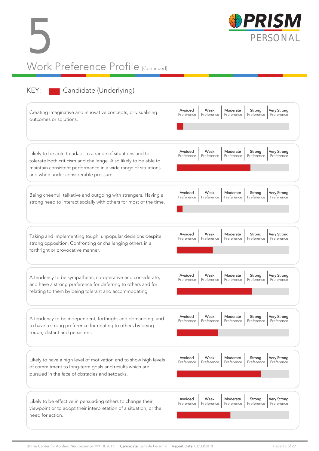



### KEY: Candidate (Underlying)

| Creating imaginative and innovative concepts, or visualising<br>outcomes or solutions.                                                                                                                                                   | Avoided<br>Weak<br>Moderate<br><b>Very Strong</b><br>Strong<br>Preference<br>Preference<br>Preference<br>Preference<br>Preference |
|------------------------------------------------------------------------------------------------------------------------------------------------------------------------------------------------------------------------------------------|-----------------------------------------------------------------------------------------------------------------------------------|
| Likely to be able to adapt to a range of situations and to<br>tolerate both criticism and challenge. Also likely to be able to<br>maintain consistent performance in a wide range of situations<br>and when under considerable pressure. | Avoided<br>Weak<br>Moderate<br>Very Strong<br>Strong<br>Preference<br>Preference<br>Preference<br>Preference<br>Preference        |
| Being cheerful, talkative and outgoing with strangers. Having a<br>strong need to interact socially with others for most of the time.                                                                                                    | Avoided<br>Weak<br>Moderate<br>Strong<br><b>Very Strong</b><br>Preference<br>Preference<br>Preference<br>Preference<br>Preference |
| Taking and implementing tough, unpopular decisions despite<br>strong opposition. Confronting or challenging others in a<br>forthright or provocative manner.                                                                             | Avoided<br>Moderate<br><b>Very Strong</b><br>Weak<br>Strong<br>Preference<br>Preference<br>Preference<br>Preference<br>Preference |
| A tendency to be sympathetic, co-operative and considerate,<br>and have a strong preference for deferring to others and for<br>relating to them by being tolerant and accommodating.                                                     | Avoided<br>Moderate<br><b>Very Strong</b><br>Weak<br>Strong<br>Preference<br>Preference<br>Preference<br>Preference<br>Preference |
| A tendency to be independent, forthright and demanding, and<br>to have a strong preference for relating to others by being<br>tough, distant and persistent.                                                                             | Avoided<br>Very Strong<br>Weak<br>Moderate<br>Strong<br>Preference<br>Preference<br>Preference<br>Preference<br>Preference        |
| Likely to have a high level of motivation and to show high levels<br>of commitment to long-term goals and results which are<br>pursued in the face of obstacles and setbacks.                                                            | Avoided<br>Moderate<br>Weak<br>Strong<br>Very Strong<br>Preference<br>Preference<br>Preference<br>Preference<br>Preference        |
| Likely to be effective in persuading others to change their<br>viewpoint or to adopt their interpretation of a situation, or the<br>need for action.                                                                                     | Avoided<br>Weak<br>Moderate<br>Strong<br><b>Very Strong</b><br>Preference<br>Preference<br>Preference<br>Preference<br>Preference |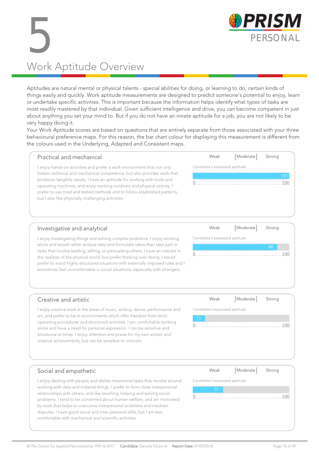

# 5 PERSONAL Work Aptitude Overview

Aptitudes are natural mental or physical talents - special abilities for doing, or learning to do, certain kinds of things easily and quickly. Work aptitude measurements are designed to predict someone's potential to enjoy, learn or undertake specific activities. This is important because the information helps identify what types of tasks are most readily mastered by that individual. Given sufficient intelligence and drive, you can become competent in just about anything you set your mind to. But if you do not have an innate aptitude for a job, you are not likely to be very happy doing it.

Your Work Aptitude scores are based on questions that are entirely separate from those associated with your three behavioural preference maps. For this reason, the bar chart colour for displaying this measurement is different from the colours used in the Underlying, Adapted and Consistent maps.

| Practical and mechanical                                                                                                                                                                                                                                                                                                                                                                                                                     | Weak                           | Moderate      | Strong     |
|----------------------------------------------------------------------------------------------------------------------------------------------------------------------------------------------------------------------------------------------------------------------------------------------------------------------------------------------------------------------------------------------------------------------------------------------|--------------------------------|---------------|------------|
| enjoy hands-on activities and prefer a work environment that not only<br>fosters technical and mechanical competence, but also provides work that<br>produces tangible results. I have an aptitude for working with tools and<br>operating machines, and enjoy working outdoors and physical activity. I<br>prefer to use tried and tested methods and to follow established patterns,<br>but I also like physically challenging activities. | Candidate's expressed aptitude |               | 100<br>100 |
|                                                                                                                                                                                                                                                                                                                                                                                                                                              | $\mathbf{A} \times \mathbf{A}$ | الدياء والمقا |            |

#### Investigative and analytical

I enjoy investigating things and solving complex problems. I enjoy working alone and would rather analyse data and formulate ideas than take part in tasks that involve leading, selling, or persuading others. I have an interest in the realities of the physical world, but prefer thinking over doing. I would prefer to avoid highly structured situations with externally imposed rules and I sometimes feel uncomfortable in social situations, especially with strangers.

| Weak                           | Moderate Strong |      |
|--------------------------------|-----------------|------|
| Candidate's expressed aptitude |                 |      |
|                                |                 | 88   |
|                                |                 | .100 |

#### Creative and artistic

I enjoy creative work in the areas of music, writing, dance, performance and art, and prefer to be in environments which offer freedom from strict operating procedures and structured activities. I am comfortable working alone and have a need for personal expression. I can be sensitive and emotional at times. I enjoy attention and praise for my own artistic and creative achievements, but can be sensitive to criticism.

| Weak                           | Moderate | Strong |
|--------------------------------|----------|--------|
| Candidate's expressed aptitude |          |        |
| $\sqrt{13}$                    |          |        |
| 0                              |          |        |

Г

#### Social and empathetic

I enjoy dealing with people and dislike impersonal tasks that revolve around working with data and material things. I prefer to form close interpersonal relationships with others, and like teaching, helping and solving social problems. I tend to be concerned about human welfare, and am motivated by work that helps to overcome interpersonal problems and mediate disputes. I have good social and inter-personal skills, but I am less comfortable with mechanical and scientific activities.

| Weak                           | $ $ Moderate $ $ | Strong |  |  |  |  |  |  |  |  |  |
|--------------------------------|------------------|--------|--|--|--|--|--|--|--|--|--|
| Candidate's expressed aptitude |                  |        |  |  |  |  |  |  |  |  |  |
| 31                             |                  |        |  |  |  |  |  |  |  |  |  |
|                                | .                | 1(1(   |  |  |  |  |  |  |  |  |  |
|                                |                  |        |  |  |  |  |  |  |  |  |  |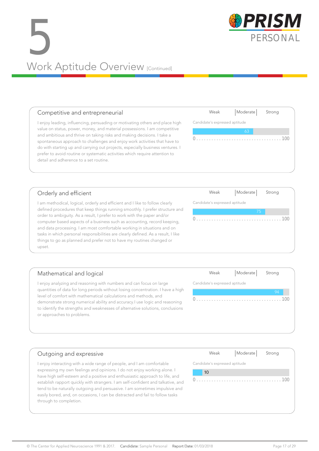### 5 PERSONAL<br>PERSONAL<br>Mode Aptitude Overview Work Aptitude Overview [Continued]

#### Competitive and entrepreneurial

I enjoy leading, influencing, persuading or motivating others and place high value on status, power, money, and material possessions. I am competitive and ambitious and thrive on taking risks and making decisions. I take a spontaneous approach to challenges and enjoy work activities that have to do with starting up and carrying out projects, especially business ventures. I prefer to avoid routine or systematic activities which require attention to detail and adherence to a set routine.

#### Orderly and efficient

I am methodical, logical, orderly and efficient and I like to follow clearly defined procedures that keep things running smoothly. I prefer structure and order to ambiguity. As a result, I prefer to work with the paper and/or computer based aspects of a business such as accounting, record keeping, and data processing. I am most comfortable working in situations and on tasks in which personal responsibilities are clearly defined. As a result, I like things to go as planned and prefer not to have my routines changed or upset.

#### Mathematical and logical I enjoy analyzing and reasoning with numbers and can focus on large quantities of data for long periods without losing concentration. I have a high level of comfort with mathematical calculations and methods, and demonstrate strong numerical ability and accuracy.I use logic and reasoning to identify the strengths and weaknesses of alternative solutions, conclusions or approaches to problems. Candidate's expressed aptitude

#### Outgoing and expressive

I enjoy interacting with a wide range of people, and I am comfortable expressing my own feelings and opinions. I do not enjoy working alone. I have high self-esteem and a positive and enthusiastic approach to life, and establish rapport quickly with strangers. I am self-confident and talkative, and tend to be naturally outgoing and persuasive. I am sometimes impulsive and easily bored, and, on occasions, I can be distracted and fail to follow tasks through to completion.

| Candidate's expressed aptitude |  |  |  |  |  |  |  |  |  |  |  |  |  |  |  |  |  |
|--------------------------------|--|--|--|--|--|--|--|--|--|--|--|--|--|--|--|--|--|
|                                |  |  |  |  |  |  |  |  |  |  |  |  |  |  |  |  |  |
|                                |  |  |  |  |  |  |  |  |  |  |  |  |  |  |  |  |  |





Weak | Moderate | Strong

0 . . . . . . . . . . . . . . . . . . . . . . . . . . . . . . . . . . 100

Candidate's expressed aptitude



Weak | Moderate | Strong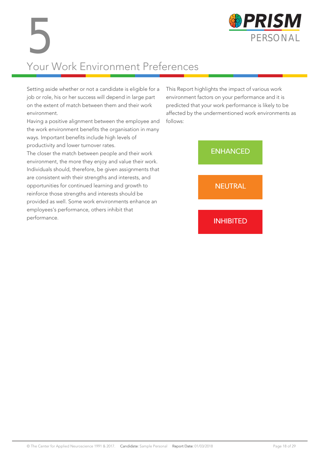

# Your Work Environment Preferences 5

Setting aside whether or not a candidate is eligible for a job or role, his or her success will depend in large part on the extent of match between them and their work environment.

Having a positive alignment between the employee and the work environment benefits the organisation in many ways. Important benefits include high levels of productivity and lower turnover rates.

The closer the match between people and their work environment, the more they enjoy and value their work. Individuals should, therefore, be given assignments that are consistent with their strengths and interests, and opportunities for continued learning and growth to reinforce those strengths and interests should be provided as well. Some work environments enhance an employees's performance, others inhibit that performance.

This Report highlights the impact of various work environment factors on your performance and it is predicted that your work performance is likely to be affected by the undermentioned work environments as follows:

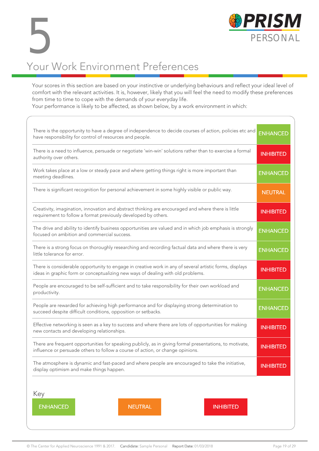

### Your Work Environment Preferences 5

Your scores in this section are based on your instinctive or underlying behaviours and reflect your ideal level of comfort with the relevant activities. It is, however, likely that you will feel the need to modify these preferences from time to time to cope with the demands of your everyday life.

Your performance is likely to be affected, as shown below, by a work environment in which:

| There is the opportunity to have a degree of independence to decide courses of action, policies etc and<br>have responsibility for control of resources and people.                        | <b>ENHANCED</b>  |
|--------------------------------------------------------------------------------------------------------------------------------------------------------------------------------------------|------------------|
| There is a need to influence, persuade or negotiate 'win-win' solutions rather than to exercise a formal<br>authority over others.                                                         | <b>INHIBITED</b> |
| Work takes place at a low or steady pace and where getting things right is more important than<br>meeting deadlines.                                                                       | <b>ENHANCED</b>  |
| There is significant recognition for personal achievement in some highly visible or public way.                                                                                            | <b>NEUTRAL</b>   |
| Creativity, imagination, innovation and abstract thinking are encouraged and where there is little<br>requirement to follow a format previously developed by others.                       | <b>INHIBITED</b> |
| The drive and ability to identify business opportunities are valued and in which job emphasis is strongly<br>focused on ambition and commercial success.                                   | <b>ENHANCED</b>  |
| There is a strong focus on thoroughly researching and recording factual data and where there is very<br>little tolerance for error.                                                        | <b>ENHANCED</b>  |
| There is considerable opportunity to engage in creative work in any of several artistic forms, displays<br>ideas in graphic form or conceptualizing new ways of dealing with old problems. | <b>INHIBITED</b> |
| People are encouraged to be self-sufficient and to take responsibility for their own workload and<br>productivity.                                                                         | <b>ENHANCED</b>  |
| People are rewarded for achieving high performance and for displaying strong determination to<br>succeed despite difficult conditions, opposition or setbacks.                             | <b>ENHANCED</b>  |
| Effective networking is seen as a key to success and where there are lots of opportunities for making<br>new contacts and developing relationships.                                        | <b>INHIBITED</b> |
| There are frequent opportunities for speaking publicly, as in giving formal presentations, to motivate,<br>influence or persuade others to follow a course of action, or change opinions.  | <b>INHIBITED</b> |
| The atmosphere is dynamic and fast-paced and where people are encouraged to take the initiative,<br>display optimism and make things happen.                                               | <b>INHIBITED</b> |
| Key<br><b>ENHANCED</b><br><b>NEUTRAL</b><br><b>INHIBITED</b>                                                                                                                               |                  |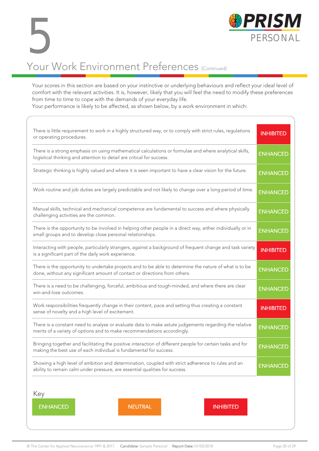

#### Your scores in this section are based on your instinctive or underlying behaviours and reflect your ideal level of comfort with the relevant activities. It is, however, likely that you will feel the need to modify these preferences from time to time to cope with the demands of your everyday life.

Your performance is likely to be affected, as shown below, by a work environment in which:

| There is little requirement to work in a highly structured way, or to comply with strict rules, regulations<br>or operating procedures.                                              | <b>INHIBITED</b> |  |  |  |  |  |  |  |  |  |
|--------------------------------------------------------------------------------------------------------------------------------------------------------------------------------------|------------------|--|--|--|--|--|--|--|--|--|
| There is a strong emphasis on using mathematical calculations or formulae and where analytical skills,<br>logistical thinking and attention to detail are critical for success.      | <b>ENHANCED</b>  |  |  |  |  |  |  |  |  |  |
| Strategic thinking is highly valued and where it is seen important to have a clear vision for the future.                                                                            |                  |  |  |  |  |  |  |  |  |  |
| Work routine and job duties are largely predictable and not likely to change over a long period of time.                                                                             |                  |  |  |  |  |  |  |  |  |  |
| Manual skills, technical and mechanical competence are fundamental to success and where physically<br>challenging activities are the common.                                         | <b>ENHANCED</b>  |  |  |  |  |  |  |  |  |  |
| There is the opportunity to be involved in helping other people in a direct way, either individually or in<br>small groups and to develop close personal relationships.              |                  |  |  |  |  |  |  |  |  |  |
| Interacting with people, particularly strangers, against a background of frequent change and task variety<br>is a significant part of the daily work experience.                     |                  |  |  |  |  |  |  |  |  |  |
| There is the opportunity to undertake projects and to be able to determine the nature of what is to be<br>done, without any significant amount of contact or directions from others. |                  |  |  |  |  |  |  |  |  |  |
| There is a need to be challenging, forceful, ambitious and tough-minded, and where there are clear<br>win-and-lose outcomes.                                                         | <b>ENHANCED</b>  |  |  |  |  |  |  |  |  |  |
| Work responsibilities frequently change in their content, pace and setting thus creating a constant<br>sense of novelty and a high level of excitement.                              | <b>INHIBITED</b> |  |  |  |  |  |  |  |  |  |
| There is a constant need to analyse or evaluate data to make astute judgements regarding the relative<br>merits of a variety of options and to make recommendations accordingly.     | <b>ENHANCED</b>  |  |  |  |  |  |  |  |  |  |
| Bringing together and facilitating the positive interaction of different people for certain tasks and for<br>making the best use of each individual is fundamental for success.      | <b>ENHANCED</b>  |  |  |  |  |  |  |  |  |  |
| Showing a high level of ambition and determination, coupled with strict adherence to rules and an<br>ability to remain calm under pressure, are essential qualities for success.     | <b>ENHANCED</b>  |  |  |  |  |  |  |  |  |  |
| Key<br><b>ENHANCED</b><br><b>NEUTRAL</b><br><b>INHIBITED</b>                                                                                                                         |                  |  |  |  |  |  |  |  |  |  |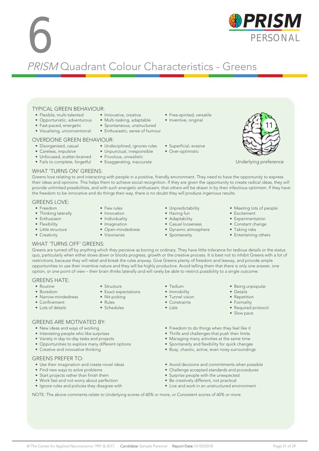#### © The Center for Applied Neuroscience 1991 & 2017. Candidate: Sample Personal Report Date: 01/03/2018 Page 21 of 29

#### TYPICAL GREEN BEHAVIOUR: • Innovative, creative

- Flexible, multi-talented • Opportunistic, adventurous
- 
- Fast-paced, energetic • Visualising, unconventional

#### OVERDONE GREEN BEHAVIOUR:

- Disorganised, casual
- Careless, impulsive
- Unfocused, scatter-brained
- Fails to complete, forgetful
- Exaggerating, inaccurate

#### WHAT 'TURNS ON' GREENS:

Greens love relating to and interacting with people in a positive, friendly environment. They need to have the opportunity to express their ideas and opinions. This helps them to achieve social recognition. If they are given the opportunity to create radical ideas, they will provide unlimited possibilities, and with such energetic enthusiasm, that others will be drawn in by their infectious optimism. If they have the freedom to be innovative and do things their way, there is no doubt they will produce ingenious results.

#### GREENS LOVE:

- Freedom
- Thinking laterally
- Enthusiasm
- Flexibility
- Little structure
- Creativity
- Individuality
- Imagination
- 
- Visionaries
- Adaptability
	- - Spontaneity

• Tedium • Immobility • Tunnel vision • Constraints • Lists

- Meeting lots of people • Excitement
- Experimentation
- Constant change
- Taking risks
- Entertaining others

• Being unpopular • Details • Repetition • Formality • Required protocol • Slow pace

#### WHAT 'TURNS OFF' GREENS:

Greens are turned off by anything which they perceive as boring or ordinary. They have little tolerance for tedious details or the status quo, particularly when either slows down or blocks progress, growth or the creative process. It is best not to inhibit Greens with a lot of restrictions, because they will rebel and break the rules anyway. Give Greens plenty of freedom and leeway, and provide ample opportunities to use their inventive nature and they will be highly productive. Avoid telling them that there is only one answer, one option, or one point of view – their brain thinks laterally and will rarely be able to restrict possibility to a single outcome.

#### GREENS HATE:

- Routine • Boredom
- Narrow-mindedness
- Confinement
- Lots of details
- Structure • Exact expectations
- Nit-picking
- Rules
- Schedules

#### GREENS ARE MOTIVATED BY:

- New ideas and ways of working
- Interesting people who like surprises
- Variety in day-to-day tasks and projects
- Opportunities to explore many different options
- Creative and innovative thinking

#### GREENS PREFER TO:

- Use their imagination and create novel ideas
- Find new ways to solve problems
- Start projects rather than finish them
- Work fast and not worry about perfection
- Ignore rules and policies they disagree with
- Freedom to do things when they feel like it
- Thrills and challenges that push their limits
- Managing many activities at the same time
- Spontaneity and flexibility for quick changes
- Busy, chaotic, active, even noisy surroundings
- Avoid decisions and commitments when possible
- Challenge accepted standards and procedures
- Surprise people with the unexpected
- Be creatively different, not practical
- Live and work in an unstructured environment

NOTE: The above comments relate to Underlying scores of 60% or more, or Consistent scores of 60% or more.

- 11
- Underlying preference
- 
- Unpredictability • Having fun
	- -
		-
		-
- 





- Few rules • Innovation
	-
- Open-mindedness
- 
- -
- Casual looseness

• Free-spirited, versatile • Inventive, original

• Superficial, evasive • Over-optimistic

- Dynamic atmosphere
- 
- 
- 

PRISM Quadrant Colour Characteristics - Greens

• Multi-tasking, adaptable • Spontaneous, unstructured • Enthusiastic, sense of humour

• Undisciplined, ignores rules • Unpunctual, irresponsible • Frivolous, unrealistic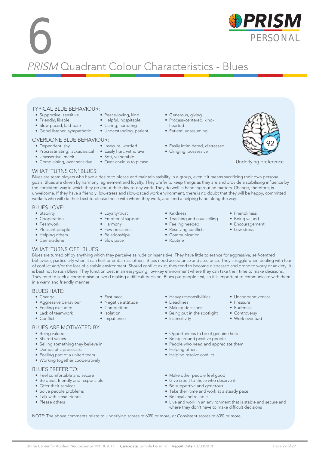## **6** PRISM Quadrant Colour Characteristics - Blues

#### TYPICAL BLUE BEHAVIOUR:

- Supportive, sensitive
- Friendly, likable
- Slow-paced, laid-back
- Good listener, sympathetic
- 

#### OVERDONE BLUE BEHAVIOUR:

- Dependent, shy
- Procrastinating, lackadaisical Easily hurt, withdrawn
- Unassertive, meek
- Complaining, over-sensitive Over-anxious to please
- Generous, giving
- Process-centered, kindhearted
- Patient, unassuming
- Easily intimidated, distressed
- Clinging, possessive



Underlying preference

#### WHAT 'TURNS ON' BLUES:

Blues are team players who have a desire to please and maintain stability in a group, even if it means sacrificing their own personal goals. Blues are driven by harmony, agreement and loyalty. They prefer to keep things as they are and provide a stabilising influence by the consistent way in which they go about their day-to-day work. They do well in handling routine matters. Change, therefore, is unwelcome. If they have a friendly, low-stress and slow-paced work environment, there is no doubt that they will be happy, committed workers who will do their best to please those with whom they work, and lend a helping hand along the way.

#### BLUES LOVE:

- Stability
- Cooperation
- Teamwork
- Pleasant people
- Helping others • Camaraderie
- Loyalty/trust
- Emotional support
- Harmony
- Few pressures
- Relationships
- Slow pace

• Fast pace • Negative attitude • Competition • Isolation • Impatience

- Kindness
- Teaching and counselling
- Feeling needed
- Resolving conflicts
- Communication
- Routine
- Friendliness
- Being valued
	- Encouragement

• Uncooperativeness

• Pressure • Rudeness • Controversy • Work overload

• Low stress

#### WHAT 'TURNS OFF' BLUES:

Blues are turned off by anything which they perceive as rude or insensitive. They have little tolerance for aggressive, self-centred behaviour, particularly when it can hurt or embarrass others. Blues need acceptance and assurance. They struggle when dealing with fear of conflict and/or the loss of a stable environment. Should conflict exist, they tend to become distressed and prone to worry or anxiety. It is best not to rush Blues. They function best in an easy-going, low-key environment where they can take their time to make decisions. They tend to seek a compromise or avoid making a difficult decision. Blues put people first, so it is important to communicate with them in a warm and friendly manner.

#### BLUES HATE:

- Change
- Aggressive behaviour
- Feeling excluded
- Lack of teamwork
- Conflict

#### BLUES ARE MOTIVATED BY:

- Being valued
- Shared values
- Selling something they believe in
- Democratic processes
- Feeling part of a united team
- Working together cooperatively

#### BLUES PREFER TO:

- Feel comfortable and secure
- Be quiet, friendly and responsible
- Offer their services
- Solve people problems
- Talk with close friends
- Please others
- Heavy responsibilities<br>• Deadlines
- Deadlines
- Making decisions
- Being put in the spotlight
- Insensitivity
- Opportunities to be of genuine help
- Being around positive people
- People who need and appreciate them
- Helping others
- Helping resolve conflict
- Make other people feel good
- Give credit to those who deserve it
- Be supportive and generous
- Take their time and work at a steady pace
- Be loyal and reliable
- Live and work in an environment that is stable and secure and where they don't have to make difficult decisions

NOTE: The above comments relate to Underlying scores of 60% or more, or Consistent scores of 60% or more.



• Insecure, worried

• Soft, vulnerable

- Peace-loving, kind • Helpful, hospitable • Caring, nurturing • Understanding, patient
-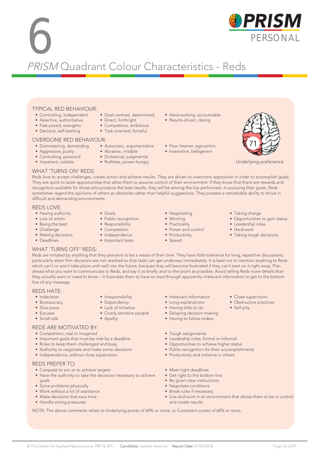### 6 PRISM Quadrant Colour Characteristics - Reds

#### TYPICAL RED BEHAVIOUR:

- Controlling, independent
- Assertive, authoritative
- Fast-paced, energetic
- Decisive, self-starting

#### OVERDONE RED BEHAVIOUR:

- Domineering, demanding Autocratic, argumentative
- Aggressive, pushy
- Controlling, paranoid
- Impatient, volatile
- Competitive, ambitious • Task oriented, forceful

• Goal-centred, determined • Direct, forthright

- Abrasive, irritable
- Dictatorial, judgmental
- Ruthless, power-hungry
- Hard-working, accountable
- Results-driven, daring
- Poor listener, egocentric
- Insensitive, belligerent



Underlying preference

#### WHAT 'TURNS ON' REDS:

Reds love to accept challenges, create action and achieve results. They are driven to overcome opposition in order to accomplish goals. They are quick to seize opportunities that allow them to assume control of their environment. If they know that there are rewards and recognition available for those who produce the best results, they will be among the top performers. In pursuing their goals, Reds sometimes regard the opinions of others as obstacles rather than helpful suggestions. They possess a remarkable ability to thrive in difficult and demanding environments.

#### REDS LOVE:

- Having authority
- Lots of action
- Being the best
- Challenge
- Making decisions
- Deadlines
- Goals
- Public recognition
- Responsibility
- Competition
- Independence

• Irresponsibility • Dependency • Lack of initiative • Overly sensitive people

• Apathy

- Winning
- 
- 
- 
- Important tasks
- Practicality
	-

• Negotiating

- Power and control
- Productivity • Speed
- Taking charge
- Opportunities to gain status
- Leadership roles
- Hard work
- Taking tough decisions

• Close supervision • Obstructive practices

• Self-pity

#### WHAT 'TURNS OFF' REDS:

Reds are irritated by anything that they perceive to be a waste of their time. They have little tolerance for long, repetitive discussions, particularly when firm decisions are not reached so that tasks can get underway immediately. It is best not to mention anything to Reds which can't or won't take place until well into the future, because they will become frustrated if they can't start on it right away. Plan ahead what you want to communicate to Reds, and say it as briefly and to-the-point as possible. Avoid telling Reds more details than they actually want or need to know – it frustrates them to have to read through apparently irrelevant information to get to the bottom line of any message.

#### REDS HATE:

- Indecision
- Bureaucracy
- Slow pace
- Excuses
- Small-talk

#### REDS ARE MOTIVATED BY:

- Competition, real or imagined
- Important goals that must be met by a deadline
- Roles to keep them challenged and busy
- Authority to negotiate and make some decisions
- Independence, without close supervision

#### REDS PREFER TO:

- Compete to win or to achieve targets
- Have the authority to take the decisions necessary to achieve goals
- Solve problems physically
- Work without a lot of assistance
- Make decisions that save time
- Handle strong pressures
- Irrelevant information
- Long explanations
- Having little to do
- Delaying decision making
- Having to follow orders
- Tough assignments
- Leadership roles, formal or informal
- Opportunities to achieve higher status
- Public recognition for their accomplishments
- Productivity and initiative in others
- Meet tight deadlines
- Get right to the bottom line
- Be given clear instructions
- Negotiate conditions
- Break rules if necessary • Live and work in an environment that allows them to be in control and create results

NOTE: The above comments relate to Underlying scores of 60% or more, or Consistent scores of 60% or more.



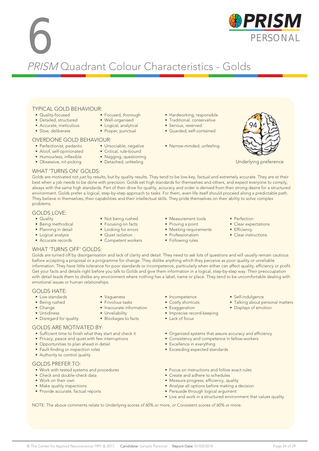# **6** PRISM Quadrant Colour Characteristics - Golds

#### TYPICAL GOLD BEHAVIOUR:

- Quality-focused
- Detailed, structured
- Accurate, meticulous
- Slow, deliberate

#### OVERDONE GOLD BEHAVIOUR:

- Perfectionist, pedantic
- Aloof, self-opinionated
- Humourless, inflexible
- Obsessive, nit-picking
- Focused, thorough • Well-organised
- Logical, analytical
- Proper, punctual

- Unsociable, negative
	- Critical, rule-bound
	- Nagging, questioning
	- Detached, unfeeling
- Hardworking, responsible
- Traditional, conservative
- Serious, reserved
- Guarded, self-contained
- Narrow-minded, unfeeling



Underlying preference

#### WHAT 'TURNS ON' GOLDS:

Golds are motivated not just by results, but by quality results. They tend to be low-key, factual and extremely accurate. They are at their best when a job needs to be done with precision. Golds set high standards for themselves and others, and expect everyone to comply, always with the same high standards. Part of their drive for quality, accuracy and order is derived from their strong desire for a structured environment. Golds prefer a logical, step-by-step approach to tasks. For them, even life itself should proceed along a predictable path. They believe in themselves, their capabilities and their intellectual skills. They pride themselves on their ability to solve complex problems.

#### GOLDS LOVE:

- Quality
- Being methodical
- Planning in detail
- Logical analysis • Accurate records
- Not being rushed • Focusing on facts
- Looking for errors
- Quiet isolation

• Vagueness • Frivolous tasks • Inaccurate information

• Unreliability • Blockages to facts

- Competent workers
- Measurement tools
- Proving a point
- Meeting requirements
- Professionalism • Following rules
- Perfection
- Clear expectations
- Efficiency
- Clear instructions

• Self-indulgence

• Displays of emotion

• Talking about personal matters

#### WHAT 'TURNS OFF' GOLDS:

Golds are turned off by disorganisation and lack of clarity and detail. They need to ask lots of questions and will usually remain cautious before accepting a proposal or a programme for change. They dislike anything which they perceive as poor quality or unreliable information. They have little tolerance for poor standards or incompetence, particularly when either can affect quality, efficiency or profit. Get your facts and details right before you talk to Golds and give them information in a logical, step-by-step way. Their preoccupation with detail leads them to dislike any environment where nothing has a label, name or place. They tend to be uncomfortable dealing with emotional issues or human relationships.

#### GOLDS HATE:

- Low standards
- Being rushed
- Change
- Untidiness
- Disregard for quality

#### GOLDS ARE MOTIVATED BY:

- Sufficient time to finish what they start and check it
- Privacy, peace and quiet with few interruptions
- Opportunities to plan ahead in detail
- Fault-finding or inspection roles
- Authority to control quality

#### GOLDS PREFER TO:

- Work with tested systems and procedures
- Check and double-check data
- Work on their own
- Make quality inspections
- Provide accurate, factual reports
- Incompetence
- Costly shortcuts
- Exaggeration
- Imprecise record-keeping
- Lack of focus
- Organized systems that assure accuracy and efficiency
- Consistency and competence in fellow-workers
- Excellence in everything
- Exceeding expected standards
- Focus on instructions and follow exact rules
- Create and adhere to schedules
- Measure progress, efficiency, quality
- Analyse all options before making a decision
- Persuade through logical argument
- Live and work in a structured environment that values quality

NOTE: The above comments relate to Underlying scores of 60% or more, or Consistent scores of 60% or more.

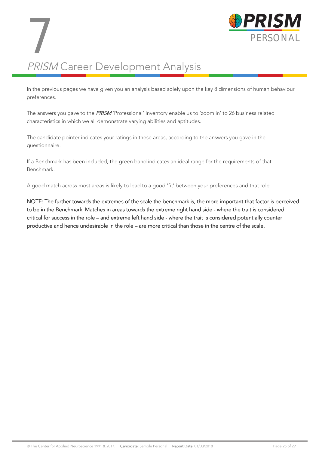

## PRISM Career Development Analysis 7

In the previous pages we have given you an analysis based solely upon the key 8 dimensions of human behaviour preferences.

The answers you gave to the PRISM 'Professional' Inventory enable us to 'zoom in' to 26 business related characteristics in which we all demonstrate varying abilities and aptitudes.

The candidate pointer indicates your ratings in these areas, according to the answers you gave in the questionnaire.

If a Benchmark has been included, the green band indicates an ideal range for the requirements of that Benchmark.

A good match across most areas is likely to lead to a good 'fit' between your preferences and that role.

NOTE: The further towards the extremes of the scale the benchmark is, the more important that factor is perceived to be in the Benchmark. Matches in areas towards the extreme right hand side - where the trait is considered critical for success in the role – and extreme left hand side - where the trait is considered potentially counter productive and hence undesirable in the role – are more critical than those in the centre of the scale.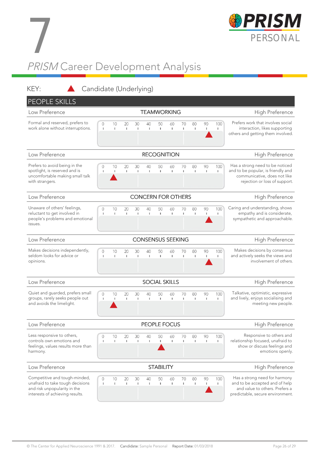

## PRISM Career Development Analysis 7

| KEY:<br>Candidate (Underlying)                                                                                                       |                          |                    |                    |          |                    |                      |                      |                    |                    |          |                                                                                                                                        |                                                                                                                                       |  |
|--------------------------------------------------------------------------------------------------------------------------------------|--------------------------|--------------------|--------------------|----------|--------------------|----------------------|----------------------|--------------------|--------------------|----------|----------------------------------------------------------------------------------------------------------------------------------------|---------------------------------------------------------------------------------------------------------------------------------------|--|
| <b>PEOPLE SKILLS</b>                                                                                                                 |                          |                    |                    |          |                    |                      |                      |                    |                    |          |                                                                                                                                        |                                                                                                                                       |  |
| Low Preference                                                                                                                       |                          |                    |                    |          |                    | <b>TEAMWORKING</b>   |                      |                    |                    |          |                                                                                                                                        | High Preference                                                                                                                       |  |
| Formal and reserved, prefers to<br>work alone without interruptions.                                                                 | $\Omega$<br>л.           | 10<br>L.           | 20<br>$\mathbb{I}$ | 30<br>J. | 40<br>1            | 50<br>$\mathbf{I}$   | 60<br>$\mathbb{I}$   | 70<br>I.           | 80<br>$\mathbf{I}$ | 90<br>T. | 100<br>T.                                                                                                                              | Prefers work that involves social<br>interaction, likes supporting<br>others and getting them involved.                               |  |
| Low Preference                                                                                                                       |                          |                    |                    |          | <b>RECOGNITION</b> | High Preference      |                      |                    |                    |          |                                                                                                                                        |                                                                                                                                       |  |
| Prefers to avoid being in the<br>spotlight, is reserved and is<br>uncomfortable making small talk<br>with strangers.                 | 10<br>L.                 | 20<br>L.           | 30<br>J.           | 40<br>J. | 50<br>L.           | 60<br>$\mathbb{I}$   | 70<br>I.             | 80<br>$\mathbf{I}$ | 90<br>T.           | 100<br>T | Has a strong need to be noticed<br>and to be popular, is friendly and<br>communicative, does not like<br>rejection or loss of support. |                                                                                                                                       |  |
| <b>CONCERN FOR OTHERS</b><br>Low Preference                                                                                          |                          |                    |                    |          |                    |                      |                      |                    |                    |          |                                                                                                                                        | High Preference                                                                                                                       |  |
| Unaware of others' feelings,<br>reluctant to get involved in<br>people's problems and emotional<br>issues.                           | 0<br>т.                  | 10<br>I.           | 20<br>L.           | 30<br>J. | 40<br>J.           | 50<br>$\mathbb{L}$   | 60<br>$\Gamma$       | 70<br>I.           | 80<br>$\mathbf{I}$ | 90<br>T. | 100<br>п                                                                                                                               | Caring and understanding, shows<br>empathy and is considerate,<br>sympathetic and approachable.                                       |  |
| Low Preference                                                                                                                       | <b>CONSENSUS SEEKING</b> |                    |                    |          |                    |                      |                      |                    |                    |          |                                                                                                                                        |                                                                                                                                       |  |
| Makes decisions independently,<br>seldom looks for advice or<br>opinions.                                                            | $\circ$<br>$\mathbf{I}$  | 10<br>T.           | 20<br>I.           | 30<br>J. | 40<br>1            | 50<br>I.             | 60<br>$\mathbb{R}^n$ | 70<br>I.           | 80<br>$\mathbf{I}$ | 90<br>J. | 100<br>L                                                                                                                               | Makes decisions by consensus<br>and actively seeks the views and<br>involvement of others.                                            |  |
| Low Preference                                                                                                                       |                          |                    |                    |          |                    | <b>SOCIAL SKILLS</b> |                      |                    |                    |          |                                                                                                                                        | High Preference                                                                                                                       |  |
| Quiet and guarded, prefers small<br>groups, rarely seeks people out<br>and avoids the limelight.                                     | $\mathbf 0$<br>1         | 10<br>т            | 20<br>$\mathbf{I}$ | 30<br>L. | 40<br>I.           | 50<br>$\mathbf{I}$   | 60<br>$\Gamma$       | 70<br>L            | 80<br>$\mathbf{I}$ | 90<br>T. | 100<br>T.                                                                                                                              | Talkative, optimistic, expressive<br>and lively, enjoys socialising and<br>meeting new people.                                        |  |
| Low Preference                                                                                                                       |                          |                    |                    |          |                    | PEOPLE FOCUS         |                      |                    |                    |          |                                                                                                                                        | High Preference                                                                                                                       |  |
| Less responsive to others,<br>controls own emotions and<br>feelings, values results more than<br>harmony.                            | 0<br>-1                  | 10<br>$\mathbb{I}$ | 20<br>$\mathbb{I}$ | 30<br>J. | 40<br>1            | 50<br>-1             | 60<br>$\mathbf{I}$   | 70<br>I.           | 80<br>$\mathbf{I}$ | 90<br>T. | 100<br>т                                                                                                                               | Responsive to others and<br>relationship focused, unafraid to<br>show or discuss feelings and<br>emotions openly.                     |  |
| Low Preference                                                                                                                       |                          |                    |                    |          |                    | <b>STABILITY</b>     |                      |                    |                    |          |                                                                                                                                        | High Preference                                                                                                                       |  |
| Competitive and tough-minded,<br>unafraid to take tough decisions<br>and risk unpopularity in the<br>interests of achieving results. | 0<br>-1                  | 10<br>$\mathbb{I}$ | 20<br>$\mathbb{I}$ | 30<br>J. | 40<br>1            | 50<br>$\mathbf{I}$   | 60<br>$\mathbb{I}$   | 70<br>$\mathbf{I}$ | 80<br>$\mathbf{I}$ | 90<br>T  | 100<br>т                                                                                                                               | Has a strong need for harmony<br>and to be accepted and of help<br>and value to others. Prefers a<br>predictable, secure environment. |  |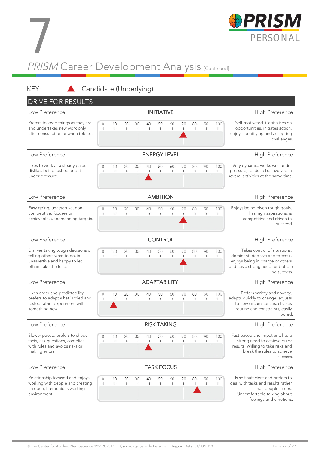

## PRISM Career Development Analysis <sub>[Continued]</sub> 7

#### KEY: **A** Candidate (Underlying)

| <b>DRIVE FOR RESULTS</b>                                                                                                     |                   |                    |                    |                     |                    |                     |                    |                    |                    |          |           |                                                                                                                                                           |  |  |
|------------------------------------------------------------------------------------------------------------------------------|-------------------|--------------------|--------------------|---------------------|--------------------|---------------------|--------------------|--------------------|--------------------|----------|-----------|-----------------------------------------------------------------------------------------------------------------------------------------------------------|--|--|
| Low Preference                                                                                                               |                   |                    |                    |                     |                    | <b>INITIATIVE</b>   |                    |                    |                    |          |           | High Preference                                                                                                                                           |  |  |
| Prefers to keep things as they are<br>and undertakes new work only<br>after consultation or when told to.                    | 0<br>1            | 10<br>$\mathbb{I}$ | 20<br>I.           | 30<br>J.            | 40<br>1            | 50<br>$\mathbf{I}$  | 60<br>I.           | 70<br>I.           | 80<br>$\mathbf{I}$ | 90<br>T  | 100<br>T  | Self-motivated. Capitalises on<br>opportunities, initiates action,<br>enjoys identifying and accepting<br>challenges.                                     |  |  |
| Low Preference                                                                                                               |                   |                    |                    | <b>ENERGY LEVEL</b> | High Preference    |                     |                    |                    |                    |          |           |                                                                                                                                                           |  |  |
| Likes to work at a steady pace,<br>dislikes being rushed or put<br>under pressure.                                           | 0<br>J.           | 10<br>$\mathbb{I}$ | 20<br>$\mathbb{I}$ | 30<br>$\mathbf{I}$  | 40<br>1            | 50<br>$\mathbf{I}$  | 60<br>$\mathbb{I}$ | 70<br>$\mathbf{I}$ | 80<br>$\mathbf{I}$ | 90<br>H. | 100<br>т  | Very dynamic, works well under<br>pressure, tends to be involved in<br>several activities at the same time.                                               |  |  |
| Low Preference<br><b>AMBITION</b>                                                                                            |                   |                    |                    |                     |                    |                     |                    |                    |                    |          |           | High Preference                                                                                                                                           |  |  |
| Easy going, unassertive, non-<br>competitive, focuses on<br>achievable, undemanding targets.                                 | 0<br>-1           | 10<br>$\mathbb{I}$ | 20<br>$\mathbb{I}$ | 30<br>I.            | 40<br>$\mathbf{I}$ | 50<br>$\mathbb{L}$  | 60<br>$\mathbb T$  | 70<br>I.           | 80<br>$\mathbf{I}$ | 90<br>T  | 100<br>т  | Enjoys being given tough goals,<br>has high aspirations, is<br>competitive and driven to<br>succeed.                                                      |  |  |
| <b>CONTROL</b><br>Low Preference                                                                                             |                   |                    |                    |                     |                    |                     |                    |                    |                    |          |           | High Preference                                                                                                                                           |  |  |
| Dislikes taking tough decisions or<br>telling others what to do, is<br>unassertive and happy to let<br>others take the lead. | 0<br>J.           | 10<br>$\mathbb{I}$ | 20<br>$\mathbf{I}$ | 30<br>J.            | 40<br>$\mathbb I$  | 50<br>$\mathbf{I}$  | 60<br>$\mathbb{I}$ | 70<br>L            | 80<br>$\mathbf{I}$ | 90<br>I, | 100<br>T. | Takes control of situations,<br>dominant, decisive and forceful,<br>enjoys being in charge of others<br>and has a strong need for bottom<br>line success. |  |  |
| Low Preference                                                                                                               |                   |                    |                    |                     |                    | <b>ADAPTABILITY</b> | High Preference    |                    |                    |          |           |                                                                                                                                                           |  |  |
| Likes order and predictability,<br>prefers to adapt what is tried and<br>tested rather experiment with<br>something new.     | 0<br>J.           | 10<br>T.           | 20<br>$\mathbb{I}$ | 30<br>J.            | 40<br>J.           | 50<br>$\mathbf{I}$  | 60<br>$\mathbb{I}$ | 70<br>L            | 80<br>$\mathbf{I}$ | 90<br>H. | 100<br>I. | Prefers variety and novelty,<br>adapts quickly to change, adjusts<br>to new circumstances, dislikes<br>routine and constraints, easily<br>bored.          |  |  |
| Low Preference                                                                                                               |                   |                    |                    |                     |                    | <b>RISK TAKING</b>  |                    |                    |                    |          |           | High Preference                                                                                                                                           |  |  |
| Slower paced, prefers to check<br>facts, ask questions, complies<br>with rules and avoids risks or<br>making errors.         | J.                | 10<br>I.           | $20 -$<br>I.       | 30                  | 40                 | 50<br>J.            | 60                 | 70                 | 80                 | 90       | 100       | Fast paced and impatient, has a<br>strong need to achieve quick<br>results. Willing to take risks and<br>break the rules to achieve<br>success.           |  |  |
| Low Preference                                                                                                               |                   |                    |                    |                     | <b>TASK FOCUS</b>  | High Preference     |                    |                    |                    |          |           |                                                                                                                                                           |  |  |
| Relationship focused and enjoys<br>working with people and creating<br>an open, harmonious working<br>environment.           | 0<br>$\mathbf{I}$ | 10<br>-            | 20<br>$\mathbf{I}$ | 30<br>J.            | 40<br>1            | 50<br>1             | 60<br>т.           | 70<br>$\mathbf{I}$ | 80<br>$\mathbf{I}$ | 90<br>T. | 100<br>Ι. | Is self-sufficient and prefers to<br>deal with tasks and results rather<br>than people issues.<br>Uncomfortable talking about<br>feelings and emotions.   |  |  |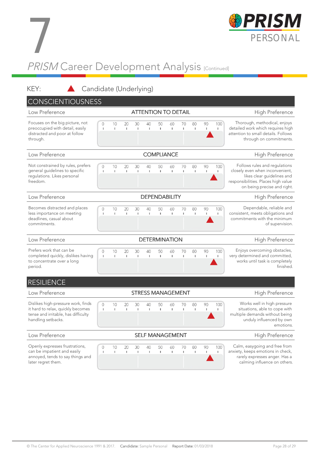

## PRISM Career Development Analysis [Continued] 7

KEY: Candidate (Underlying) CONSCIENTIOUSNESS Low Preference **ATTENTION TO DETAIL** High Preference Focuses on the big picture, not Thorough, methodical, enjoys  $10$  $40$ 90 100  $\bigcap$  $20$ 30 50 60  $70$  $80$ preoccupied with detail, easily detailed work which requires high  $\mathbf{I}$  $\mathbf{I}$ f. ï ×. I.  $\mathbf{I}$ T. × distracted and poor at follow attention to small details. Follows through on commitments. through. Low Preference **COMPLIANCE COMPLIANCE** High Preference Not constrained by rules, prefers 100 Follows rules and regulations  $\overline{O}$ 10 20 30 40 50 60 70 80 90 general guidelines to specific closely even when inconvenient,  $\mathbf{I}$ T. I.  $\mathbf{I}$ T.  $\mathbf{u}$  $\mathbf{I}$ regulations. Likes personal likes clear guidelines and freedom. responsibilities. Places high value on being precise and right. Low Preference **DEPENDABILITY Example 2018** High Preference Becomes distracted and places Dependable, reliable and  $\overline{0}$  $10$ 20 30 40 50 60 70 80 90 100 less importance on meeting consistent, meets obligations and j ï ï commitments with the minimum deadlines, casual about commitments. of supervision. Low Preference **DETERMINATION** DETERMINATION High Preference Prefers work that can be Enjoys overcoming obstacles,  $10$ 30 40 90 100  $\bigcap$  $20$ 50 60  $70$ 80 very determined and committed, completed quickly, dislikes having Ī J.  $\mathbf{I}$  $\,$  1  $\mathbf{I}$  $\mathbf{I}$  $\mathbf{I}$  $\mathbf{I}$  $\mathbf{I}$ I)  $\mathbf{I}$ to concentrate over a long works until task is completely finished. period. **RESILIENCE** Low Preference **STRESS MANAGEMENT** High Preference Works well in high pressure Dislikes high-pressure work, finds  $10$  $90$  $100$  $\Omega$  $20$  $30$  $\Delta \cap$ 50  $60$ 70  $80$ it hard to relax, quickly becomes x  $\bar{1}$ 'n. **x** Î. situations, able to cope with ٠, × tense and irritable, has difficulty multiple demands without being handling setbacks. unduly influenced by own emotions. Low Preference **SELF MANAGEMENT** High Preference **SELF MANAGEMENT** Openly expresses frustrations, Calm, easygoing and free from  $\circ$ 10 20 30 40 50 60 70 80 90 100 can be impatient and easily anxiety, keeps emotions in check, Ï  $\mathbf{I}$ T.  $\mathbf{I}$  $\overline{1}$ Î. annoyed, tends to say things and rarely expresses anger. Has a later regret them. calming influence on others.